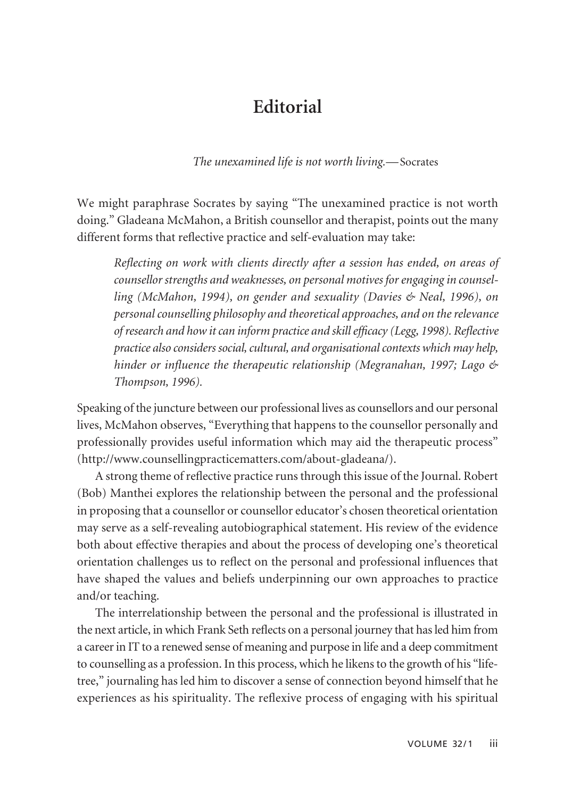## **Editorial**

## *The unexamined life is not worth living.—*Socrates

We might paraphrase Socrates by saying "The unexamined practice is not worth doing." Gladeana McMahon, a British counsellor and therapist, points out the many different forms that reflective practice and self-evaluation may take:

*Reflecting on work with clients directly after a session has ended, on areas of counsellor strengths and weaknesses, on personal motives for engaging in counsel ling (McMahon, 1994), on gender and sexuality (Davies & Neal, 1996), on personal counselling philosophy and theoretical approaches, and on the relevance of research and how it can inform practice and skill efficacy (Legg, 1998). Reflective practice also considers social, cultural, and organisational contexts which may help, hinder or influence the therapeutic relationship (Megranahan, 1997; Lago & Thompson, 1996).*

Speaking of the juncture between our professional lives as counsellors and our personal lives, McMahon observes, "Everything that happens to the counsellor personally and professionally provides useful information which may aid the therapeutic process" (http://www.counsellingpracticematters.com/about-gladeana/).

A strong theme of reflective practice runs through this issue of the Journal. Robert (Bob) Manthei explores the relationship between the personal and the professional in proposing that a counsellor or counsellor educator's chosen theoretical orientation may serve as a self-revealing autobiographical statement. His review of the evidence both about effective therapies and about the process of developing one's theoretical orientation challenges us to reflect on the personal and professional influences that have shaped the values and beliefs underpinning our own approaches to practice and/or teaching.

The interrelationship between the personal and the professional is illustrated in the next article, in which Frank Seth reflects on a personal journey that has led him from a career in IT to a renewed sense of meaning and purpose in life and a deep commitment to counselling as a profession. In this process, which he likens to the growth of his "lifetree," journaling has led him to discover a sense of connection beyond himself that he experiences as his spirituality. The reflexive process of engaging with his spiritual